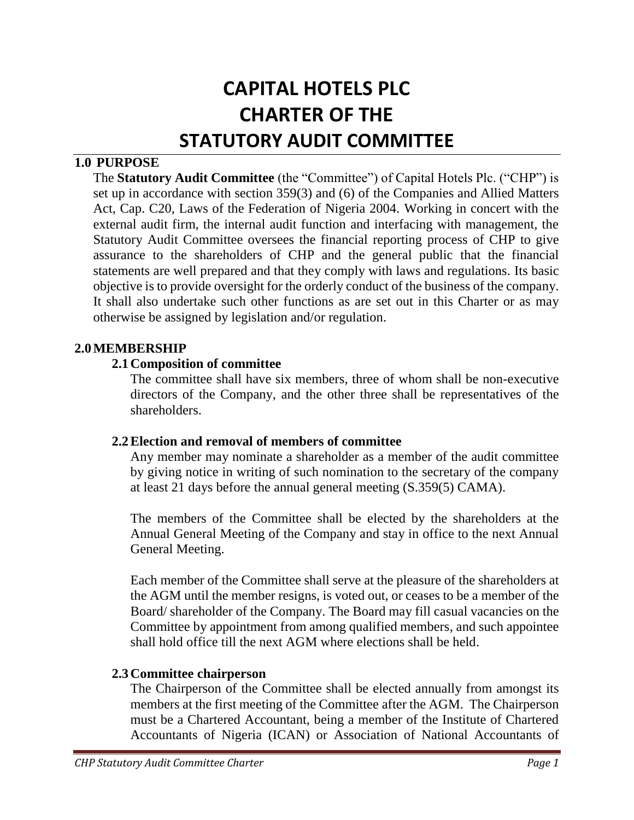# **CAPITAL HOTELS PLC CHARTER OF THE STATUTORY AUDIT COMMITTEE**

#### **1.0 PURPOSE**

The **Statutory Audit Committee** (the "Committee") of Capital Hotels Plc. ("CHP") is set up in accordance with section 359(3) and (6) of the Companies and Allied Matters Act, Cap. C20, Laws of the Federation of Nigeria 2004. Working in concert with the external audit firm, the internal audit function and interfacing with management, the Statutory Audit Committee oversees the financial reporting process of CHP to give assurance to the shareholders of CHP and the general public that the financial statements are well prepared and that they comply with laws and regulations. Its basic objective is to provide oversight for the orderly conduct of the business of the company. It shall also undertake such other functions as are set out in this Charter or as may otherwise be assigned by legislation and/or regulation.

#### **2.0MEMBERSHIP**

#### **2.1Composition of committee**

The committee shall have six members, three of whom shall be non-executive directors of the Company, and the other three shall be representatives of the shareholders.

#### **2.2Election and removal of members of committee**

Any member may nominate a shareholder as a member of the audit committee by giving notice in writing of such nomination to the secretary of the company at least 21 days before the annual general meeting (S.359(5) CAMA).

The members of the Committee shall be elected by the shareholders at the Annual General Meeting of the Company and stay in office to the next Annual General Meeting.

Each member of the Committee shall serve at the pleasure of the shareholders at the AGM until the member resigns, is voted out, or ceases to be a member of the Board/ shareholder of the Company. The Board may fill casual vacancies on the Committee by appointment from among qualified members, and such appointee shall hold office till the next AGM where elections shall be held.

#### **2.3Committee chairperson**

The Chairperson of the Committee shall be elected annually from amongst its members at the first meeting of the Committee after the AGM. The Chairperson must be a Chartered Accountant, being a member of the Institute of Chartered Accountants of Nigeria (ICAN) or Association of National Accountants of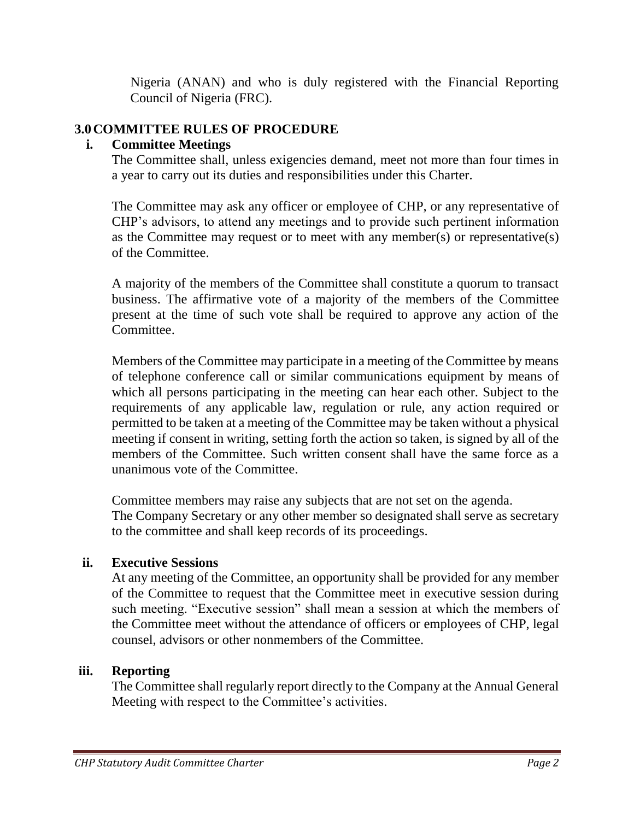Nigeria (ANAN) and who is duly registered with the Financial Reporting Council of Nigeria (FRC).

# **3.0COMMITTEE RULES OF PROCEDURE**

## **i. Committee Meetings**

The Committee shall, unless exigencies demand, meet not more than four times in a year to carry out its duties and responsibilities under this Charter.

The Committee may ask any officer or employee of CHP, or any representative of CHP's advisors, to attend any meetings and to provide such pertinent information as the Committee may request or to meet with any member(s) or representative(s) of the Committee.

A majority of the members of the Committee shall constitute a quorum to transact business. The affirmative vote of a majority of the members of the Committee present at the time of such vote shall be required to approve any action of the Committee.

Members of the Committee may participate in a meeting of the Committee by means of telephone conference call or similar communications equipment by means of which all persons participating in the meeting can hear each other. Subject to the requirements of any applicable law, regulation or rule, any action required or permitted to be taken at a meeting of the Committee may be taken without a physical meeting if consent in writing, setting forth the action so taken, is signed by all of the members of the Committee. Such written consent shall have the same force as a unanimous vote of the Committee.

Committee members may raise any subjects that are not set on the agenda. The Company Secretary or any other member so designated shall serve as secretary to the committee and shall keep records of its proceedings.

#### **ii. Executive Sessions**

At any meeting of the Committee, an opportunity shall be provided for any member of the Committee to request that the Committee meet in executive session during such meeting. "Executive session" shall mean a session at which the members of the Committee meet without the attendance of officers or employees of CHP, legal counsel, advisors or other nonmembers of the Committee.

#### **iii. Reporting**

The Committee shall regularly report directly to the Company at the Annual General Meeting with respect to the Committee's activities.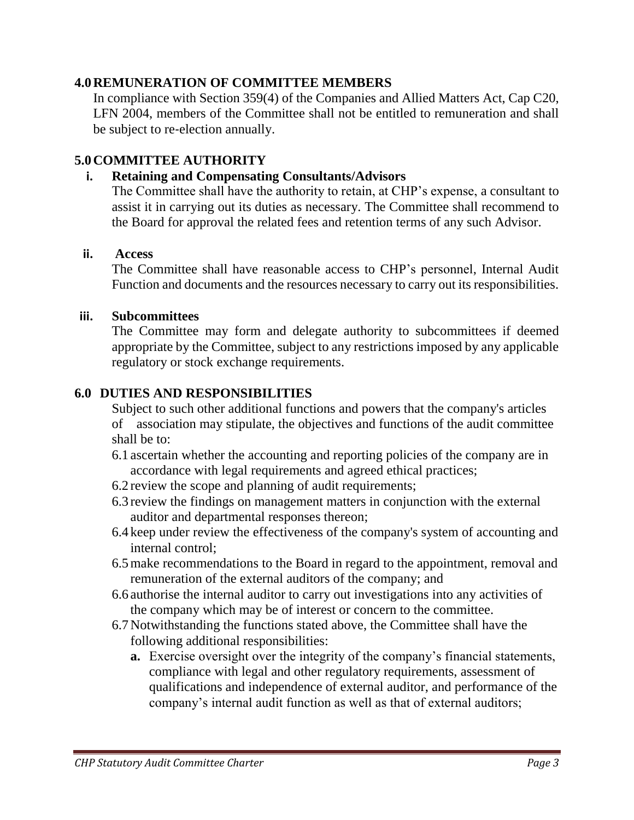### **4.0REMUNERATION OF COMMITTEE MEMBERS**

In compliance with Section 359(4) of the Companies and Allied Matters Act, Cap C20, LFN 2004, members of the Committee shall not be entitled to remuneration and shall be subject to re-election annually.

# **5.0COMMITTEE AUTHORITY**

### **i. Retaining and Compensating Consultants/Advisors**

The Committee shall have the authority to retain, at CHP's expense, a consultant to assist it in carrying out its duties as necessary. The Committee shall recommend to the Board for approval the related fees and retention terms of any such Advisor.

#### **ii. Access**

The Committee shall have reasonable access to CHP's personnel, Internal Audit Function and documents and the resources necessary to carry out its responsibilities.

#### **iii. Subcommittees**

The Committee may form and delegate authority to subcommittees if deemed appropriate by the Committee, subject to any restrictions imposed by any applicable regulatory or stock exchange requirements.

## **6.0 DUTIES AND RESPONSIBILITIES**

Subject to such other additional functions and powers that the company's articles of association may stipulate, the objectives and functions of the audit committee shall be to:

- 6.1 ascertain whether the accounting and reporting policies of the company are in accordance with legal requirements and agreed ethical practices;
- 6.2 review the scope and planning of audit requirements;
- 6.3 review the findings on management matters in conjunction with the external auditor and departmental responses thereon;
- 6.4 keep under review the effectiveness of the company's system of accounting and internal control;
- 6.5make recommendations to the Board in regard to the appointment, removal and remuneration of the external auditors of the company; and
- 6.6 authorise the internal auditor to carry out investigations into any activities of the company which may be of interest or concern to the committee.
- 6.7Notwithstanding the functions stated above, the Committee shall have the following additional responsibilities:
	- **a.** Exercise oversight over the integrity of the company's financial statements, compliance with legal and other regulatory requirements, assessment of qualifications and independence of external auditor, and performance of the company's internal audit function as well as that of external auditors;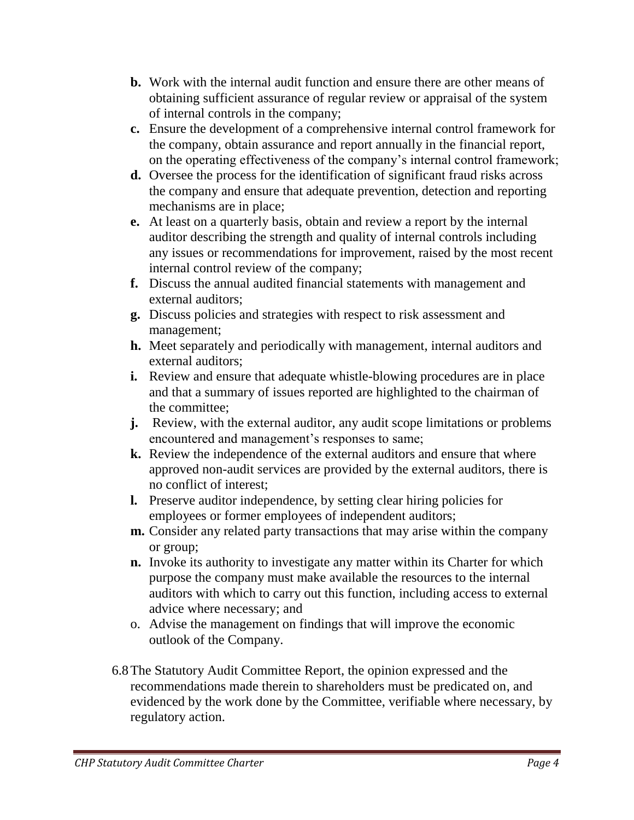- **b.** Work with the internal audit function and ensure there are other means of obtaining sufficient assurance of regular review or appraisal of the system of internal controls in the company;
- **c.** Ensure the development of a comprehensive internal control framework for the company, obtain assurance and report annually in the financial report, on the operating effectiveness of the company's internal control framework;
- **d.** Oversee the process for the identification of significant fraud risks across the company and ensure that adequate prevention, detection and reporting mechanisms are in place;
- **e.** At least on a quarterly basis, obtain and review a report by the internal auditor describing the strength and quality of internal controls including any issues or recommendations for improvement, raised by the most recent internal control review of the company;
- **f.** Discuss the annual audited financial statements with management and external auditors;
- **g.** Discuss policies and strategies with respect to risk assessment and management;
- **h.** Meet separately and periodically with management, internal auditors and external auditors;
- **i.** Review and ensure that adequate whistle-blowing procedures are in place and that a summary of issues reported are highlighted to the chairman of the committee;
- **j.** Review, with the external auditor, any audit scope limitations or problems encountered and management's responses to same;
- **k.** Review the independence of the external auditors and ensure that where approved non-audit services are provided by the external auditors, there is no conflict of interest;
- **l.** Preserve auditor independence, by setting clear hiring policies for employees or former employees of independent auditors;
- **m.** Consider any related party transactions that may arise within the company or group;
- **n.** Invoke its authority to investigate any matter within its Charter for which purpose the company must make available the resources to the internal auditors with which to carry out this function, including access to external advice where necessary; and
- o. Advise the management on findings that will improve the economic outlook of the Company.
- 6.8The Statutory Audit Committee Report, the opinion expressed and the recommendations made therein to shareholders must be predicated on, and evidenced by the work done by the Committee, verifiable where necessary, by regulatory action.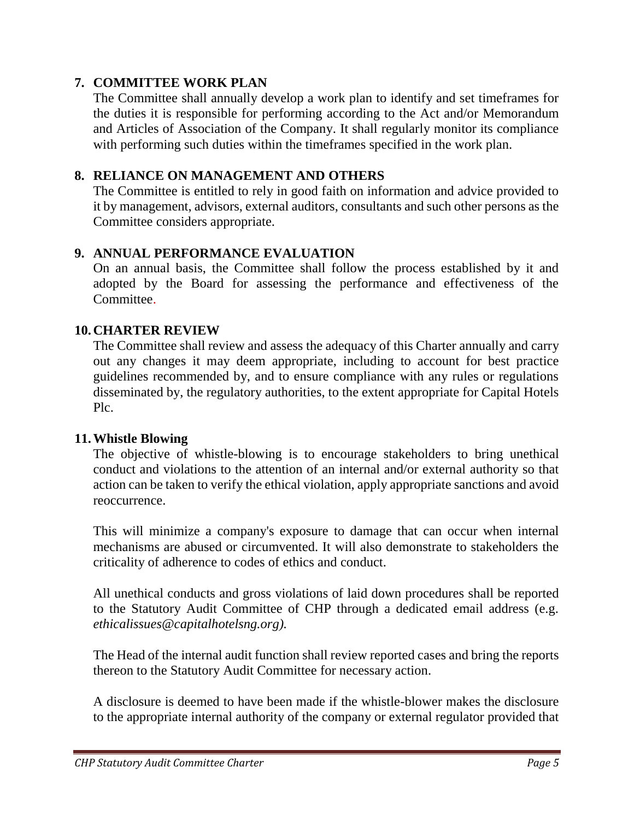# **7. COMMITTEE WORK PLAN**

The Committee shall annually develop a work plan to identify and set timeframes for the duties it is responsible for performing according to the Act and/or Memorandum and Articles of Association of the Company. It shall regularly monitor its compliance with performing such duties within the timeframes specified in the work plan.

## **8. RELIANCE ON MANAGEMENT AND OTHERS**

The Committee is entitled to rely in good faith on information and advice provided to it by management, advisors, external auditors, consultants and such other persons as the Committee considers appropriate.

# **9. ANNUAL PERFORMANCE EVALUATION**

On an annual basis, the Committee shall follow the process established by it and adopted by the Board for assessing the performance and effectiveness of the Committee.

## **10.CHARTER REVIEW**

The Committee shall review and assess the adequacy of this Charter annually and carry out any changes it may deem appropriate, including to account for best practice guidelines recommended by, and to ensure compliance with any rules or regulations disseminated by, the regulatory authorities, to the extent appropriate for Capital Hotels Plc.

#### **11.Whistle Blowing**

The objective of whistle-blowing is to encourage stakeholders to bring unethical conduct and violations to the attention of an internal and/or external authority so that action can be taken to verify the ethical violation, apply appropriate sanctions and avoid reoccurrence.

This will minimize a company's exposure to damage that can occur when internal mechanisms are abused or circumvented. It will also demonstrate to stakeholders the criticality of adherence to codes of ethics and conduct.

All unethical conducts and gross violations of laid down procedures shall be reported to the Statutory Audit Committee of CHP through a dedicated email address (e.g. *ethicalissues@capitalhotelsng.org).*

The Head of the internal audit function shall review reported cases and bring the reports thereon to the Statutory Audit Committee for necessary action.

A disclosure is deemed to have been made if the whistle-blower makes the disclosure to the appropriate internal authority of the company or external regulator provided that